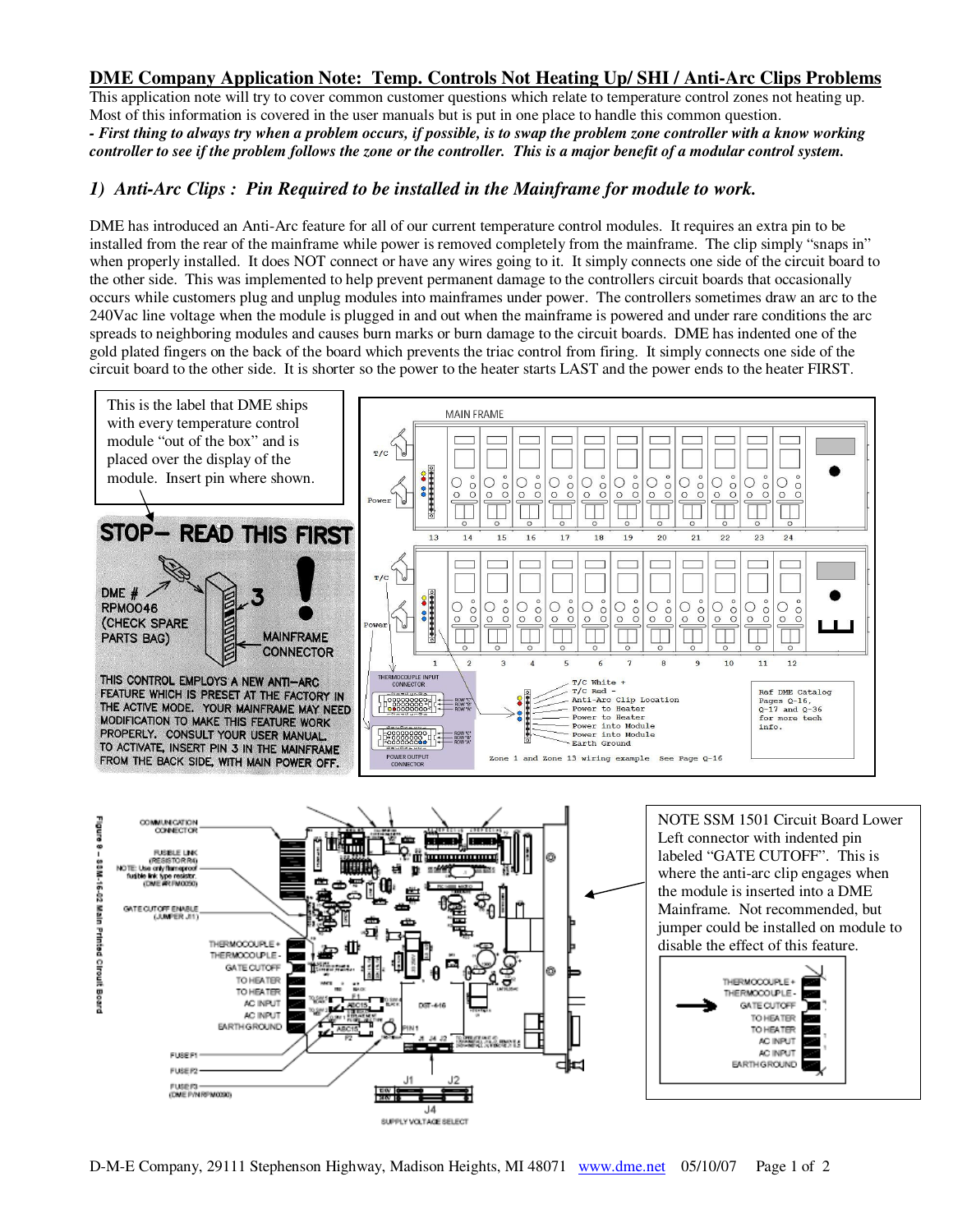## **DME Company Application Note: Temp. Controls Not Heating Up/ SHI / Anti-Arc Clips Problems**

This application note will try to cover common customer questions which relate to temperature control zones not heating up. Most of this information is covered in the user manuals but is put in one place to handle this common question. *- First thing to always try when a problem occurs, if possible, is to swap the problem zone controller with a know working controller to see if the problem follows the zone or the controller. This is a major benefit of a modular control system.* 

## *1) Anti-Arc Clips : Pin Required to be installed in the Mainframe for module to work.*

DME has introduced an Anti-Arc feature for all of our current temperature control modules. It requires an extra pin to be installed from the rear of the mainframe while power is removed completely from the mainframe. The clip simply "snaps in" when properly installed. It does NOT connect or have any wires going to it. It simply connects one side of the circuit board to the other side. This was implemented to help prevent permanent damage to the controllers circuit boards that occasionally occurs while customers plug and unplug modules into mainframes under power. The controllers sometimes draw an arc to the 240Vac line voltage when the module is plugged in and out when the mainframe is powered and under rare conditions the arc spreads to neighboring modules and causes burn marks or burn damage to the circuit boards. DME has indented one of the gold plated fingers on the back of the board which prevents the triac control from firing. It simply connects one side of the circuit board to the other side. It is shorter so the power to the heater starts LAST and the power ends to the heater FIRST.





NOTE SSM 1501 Circuit Board Lower Left connector with indented pin labeled "GATE CUTOFF". This is where the anti-arc clip engages when the module is inserted into a DME Mainframe. Not recommended, but jumper could be installed on module to disable the effect of this feature.